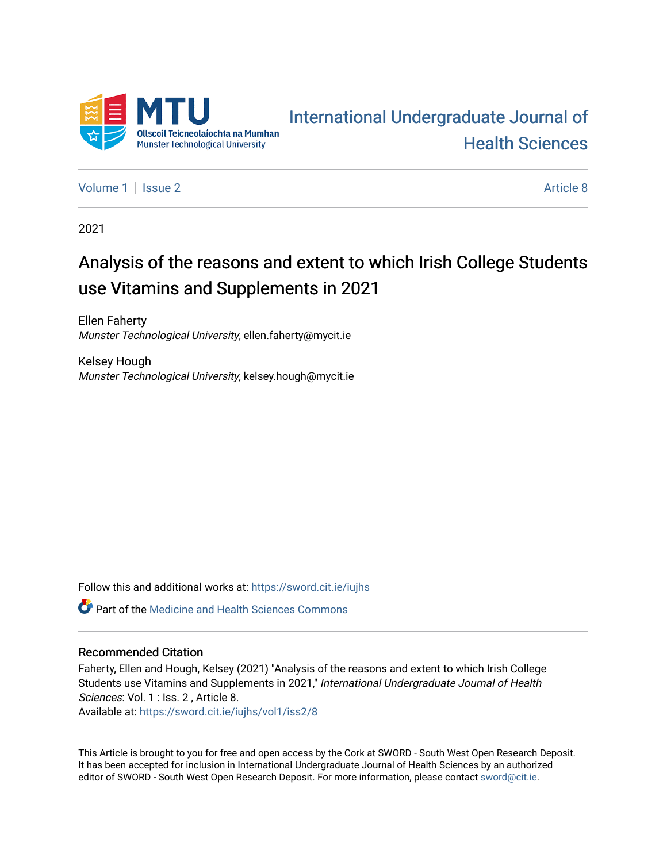

# [International Undergraduate Journal of](https://sword.cit.ie/iujhs)  [Health Sciences](https://sword.cit.ie/iujhs)

[Volume 1](https://sword.cit.ie/iujhs/vol1) | [Issue 2](https://sword.cit.ie/iujhs/vol1/iss2) Article 8

2021

# Analysis of the reasons and extent to which Irish College Students use Vitamins and Supplements in 2021

Ellen Faherty Munster Technological University, ellen.faherty@mycit.ie

Kelsey Hough Munster Technological University, kelsey.hough@mycit.ie

Follow this and additional works at: [https://sword.cit.ie/iujhs](https://sword.cit.ie/iujhs?utm_source=sword.cit.ie%2Fiujhs%2Fvol1%2Fiss2%2F8&utm_medium=PDF&utm_campaign=PDFCoverPages)  **P** Part of the Medicine and Health Sciences Commons

#### Recommended Citation

Faherty, Ellen and Hough, Kelsey (2021) "Analysis of the reasons and extent to which Irish College Students use Vitamins and Supplements in 2021," International Undergraduate Journal of Health Sciences: Vol. 1 : Iss. 2 , Article 8. Available at: [https://sword.cit.ie/iujhs/vol1/iss2/8](https://sword.cit.ie/iujhs/vol1/iss2/8?utm_source=sword.cit.ie%2Fiujhs%2Fvol1%2Fiss2%2F8&utm_medium=PDF&utm_campaign=PDFCoverPages) 

This Article is brought to you for free and open access by the Cork at SWORD - South West Open Research Deposit. It has been accepted for inclusion in International Undergraduate Journal of Health Sciences by an authorized editor of SWORD - South West Open Research Deposit. For more information, please contact [sword@cit.ie](mailto:sword@cit.ie).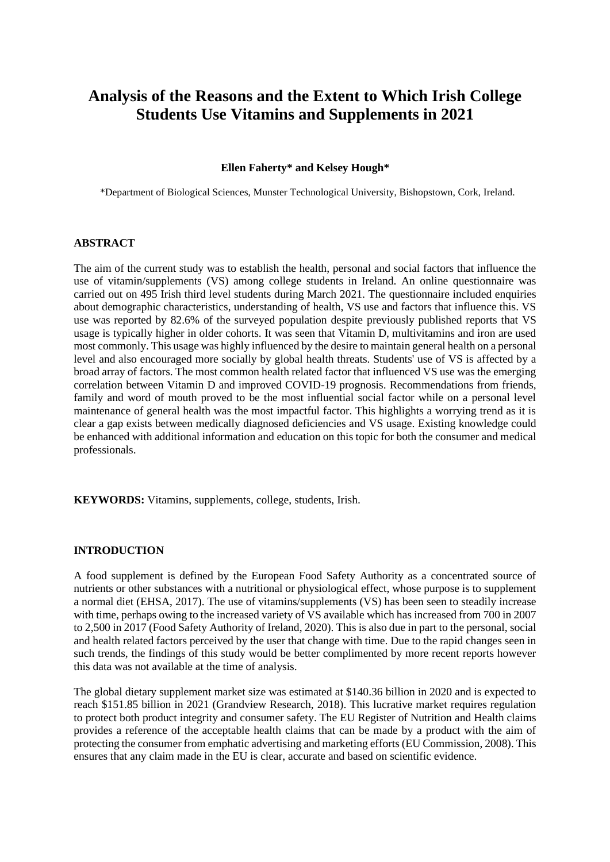# **Analysis of the Reasons and the Extent to Which Irish College Students Use Vitamins and Supplements in 2021**

#### **Ellen Faherty\* and Kelsey Hough\***

\*Department of Biological Sciences, Munster Technological University, Bishopstown, Cork, Ireland.

#### **ABSTRACT**

The aim of the current study was to establish the health, personal and social factors that influence the use of vitamin/supplements (VS) among college students in Ireland. An online questionnaire was carried out on 495 Irish third level students during March 2021. The questionnaire included enquiries about demographic characteristics, understanding of health, VS use and factors that influence this. VS use was reported by 82.6% of the surveyed population despite previously published reports that VS usage is typically higher in older cohorts. It was seen that Vitamin D, multivitamins and iron are used most commonly. This usage was highly influenced by the desire to maintain general health on a personal level and also encouraged more socially by global health threats. Students' use of VS is affected by a broad array of factors. The most common health related factor that influenced VS use was the emerging correlation between Vitamin D and improved COVID-19 prognosis. Recommendations from friends, family and word of mouth proved to be the most influential social factor while on a personal level maintenance of general health was the most impactful factor. This highlights a worrying trend as it is clear a gap exists between medically diagnosed deficiencies and VS usage. Existing knowledge could be enhanced with additional information and education on this topic for both the consumer and medical professionals.

**KEYWORDS:** Vitamins, supplements, college, students, Irish.

#### **INTRODUCTION**

A food supplement is defined by the European Food Safety Authority as a concentrated source of nutrients or other substances with a nutritional or physiological effect, whose purpose is to supplement a normal diet (EHSA, 2017). The use of vitamins/supplements (VS) has been seen to steadily increase with time, perhaps owing to the increased variety of VS available which has increased from 700 in 2007 to 2,500 in 2017 (Food Safety Authority of Ireland, 2020). This is also due in part to the personal, social and health related factors perceived by the user that change with time. Due to the rapid changes seen in such trends, the findings of this study would be better complimented by more recent reports however this data was not available at the time of analysis.

The global dietary supplement market size was estimated at \$140.36 billion in 2020 and is expected to reach \$151.85 billion in 2021 (Grandview Research, 2018). This lucrative market requires regulation to protect both product integrity and consumer safety. The EU Register of Nutrition and Health claims provides a reference of the acceptable health claims that can be made by a product with the aim of protecting the consumer from emphatic advertising and marketing efforts (EU Commission, 2008). This ensures that any claim made in the EU is clear, accurate and based on scientific evidence.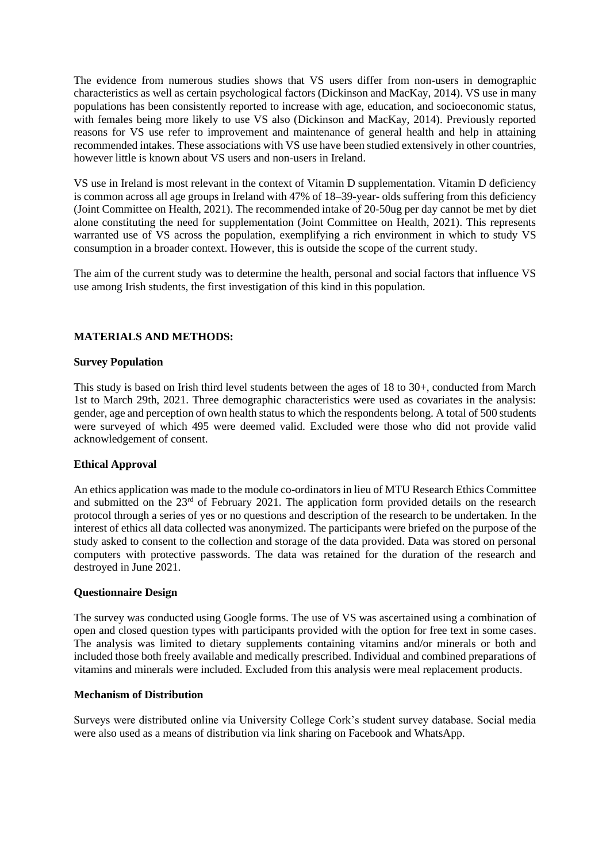The evidence from numerous studies shows that VS users differ from non-users in demographic characteristics as well as certain psychological factors (Dickinson and MacKay, 2014). VS use in many populations has been consistently reported to increase with age, education, and socioeconomic status, with females being more likely to use VS also (Dickinson and MacKay, 2014). Previously reported reasons for VS use refer to improvement and maintenance of general health and help in attaining recommended intakes. These associations with VS use have been studied extensively in other countries, however little is known about VS users and non-users in Ireland.

VS use in Ireland is most relevant in the context of Vitamin D supplementation. Vitamin D deficiency is common across all age groups in Ireland with 47% of 18–39-year- olds suffering from this deficiency (Joint Committee on Health, 2021). The recommended intake of 20-50ug per day cannot be met by diet alone constituting the need for supplementation (Joint Committee on Health, 2021). This represents warranted use of VS across the population, exemplifying a rich environment in which to study VS consumption in a broader context. However, this is outside the scope of the current study.

The aim of the current study was to determine the health, personal and social factors that influence VS use among Irish students, the first investigation of this kind in this population.

# **MATERIALS AND METHODS:**

#### **Survey Population**

This study is based on Irish third level students between the ages of 18 to 30+, conducted from March 1st to March 29th, 2021. Three demographic characteristics were used as covariates in the analysis: gender, age and perception of own health status to which the respondents belong. A total of 500 students were surveyed of which 495 were deemed valid. Excluded were those who did not provide valid acknowledgement of consent.

#### **Ethical Approval**

An ethics application was made to the module co-ordinators in lieu of MTU Research Ethics Committee and submitted on the 23<sup>rd</sup> of February 2021. The application form provided details on the research protocol through a series of yes or no questions and description of the research to be undertaken. In the interest of ethics all data collected was anonymized. The participants were briefed on the purpose of the study asked to consent to the collection and storage of the data provided. Data was stored on personal computers with protective passwords. The data was retained for the duration of the research and destroyed in June 2021.

#### **Questionnaire Design**

The survey was conducted using Google forms. The use of VS was ascertained using a combination of open and closed question types with participants provided with the option for free text in some cases. The analysis was limited to dietary supplements containing vitamins and/or minerals or both and included those both freely available and medically prescribed. Individual and combined preparations of vitamins and minerals were included. Excluded from this analysis were meal replacement products.

#### **Mechanism of Distribution**

Surveys were distributed online via University College Cork's student survey database. Social media were also used as a means of distribution via link sharing on Facebook and WhatsApp.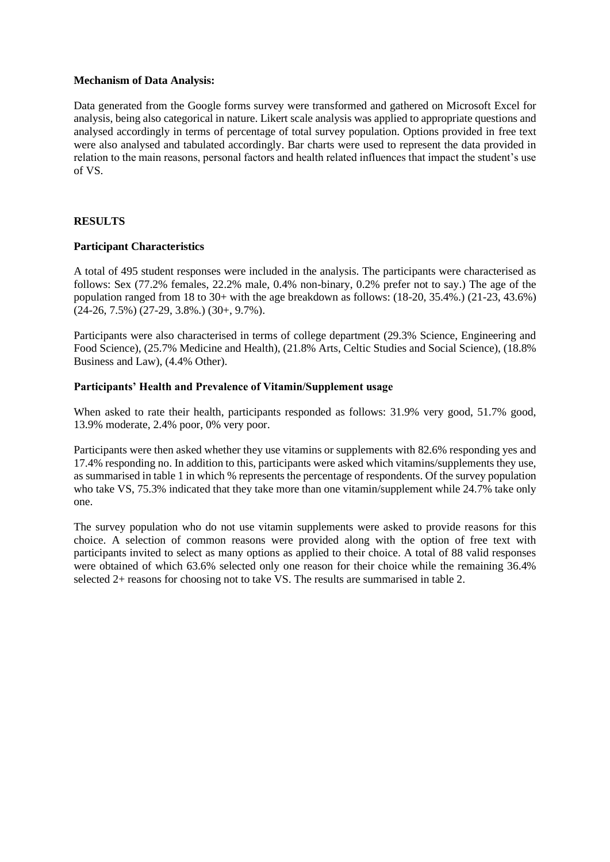#### **Mechanism of Data Analysis:**

Data generated from the Google forms survey were transformed and gathered on Microsoft Excel for analysis, being also categorical in nature. Likert scale analysis was applied to appropriate questions and analysed accordingly in terms of percentage of total survey population. Options provided in free text were also analysed and tabulated accordingly. Bar charts were used to represent the data provided in relation to the main reasons, personal factors and health related influences that impact the student's use of VS.

# **RESULTS**

#### **Participant Characteristics**

A total of 495 student responses were included in the analysis. The participants were characterised as follows: Sex (77.2% females, 22.2% male, 0.4% non-binary, 0.2% prefer not to say.) The age of the population ranged from 18 to 30+ with the age breakdown as follows: (18-20, 35.4%.) (21-23, 43.6%)  $(24-26, 7.5\%)$   $(27-29, 3.8\%)$   $(30+, 9.7\%)$ .

Participants were also characterised in terms of college department (29.3% Science, Engineering and Food Science), (25.7% Medicine and Health), (21.8% Arts, Celtic Studies and Social Science), (18.8% Business and Law), (4.4% Other).

# **Participants' Health and Prevalence of Vitamin/Supplement usage**

When asked to rate their health, participants responded as follows: 31.9% very good, 51.7% good, 13.9% moderate, 2.4% poor, 0% very poor.

Participants were then asked whether they use vitamins or supplements with 82.6% responding yes and 17.4% responding no. In addition to this, participants were asked which vitamins/supplements they use, as summarised in table 1 in which % represents the percentage of respondents. Of the survey population who take VS, 75.3% indicated that they take more than one vitamin/supplement while 24.7% take only one.

The survey population who do not use vitamin supplements were asked to provide reasons for this choice. A selection of common reasons were provided along with the option of free text with participants invited to select as many options as applied to their choice. A total of 88 valid responses were obtained of which 63.6% selected only one reason for their choice while the remaining 36.4% selected 2+ reasons for choosing not to take VS. The results are summarised in table 2.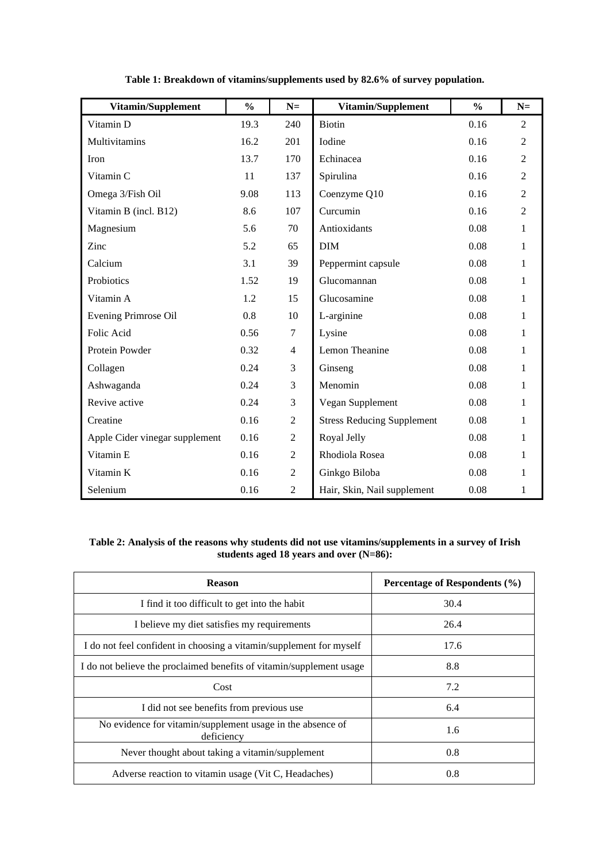| Vitamin/Supplement             | $\frac{0}{0}$ | $N =$          | Vitamin/Supplement                | $\frac{0}{0}$ | $N=$           |
|--------------------------------|---------------|----------------|-----------------------------------|---------------|----------------|
| Vitamin D                      | 19.3          | 240            | <b>Biotin</b>                     | 0.16          | $\overline{2}$ |
| Multivitamins                  | 16.2          | 201            | Iodine                            | 0.16          | $\overline{2}$ |
| Iron                           | 13.7          | 170            | Echinacea                         | 0.16          | $\overline{2}$ |
| Vitamin C                      | 11            | 137            | Spirulina                         | 0.16          | $\overline{2}$ |
| Omega 3/Fish Oil               | 9.08          | 113            | Coenzyme Q10                      | 0.16          | $\overline{2}$ |
| Vitamin B (incl. B12)          | 8.6           | 107            | Curcumin                          | 0.16          | $\overline{2}$ |
| Magnesium                      | 5.6           | 70             | Antioxidants                      | 0.08          | $\mathbf{1}$   |
| Zinc                           | 5.2           | 65             | <b>DIM</b>                        | 0.08          | $\mathbf{1}$   |
| Calcium                        | 3.1           | 39             | Peppermint capsule                | 0.08          | $\mathbf{1}$   |
| Probiotics                     | 1.52          | 19             | Glucomannan                       | 0.08          | 1              |
| Vitamin A                      | 1.2           | 15             | Glucosamine                       | 0.08          | $\mathbf{1}$   |
| Evening Primrose Oil           | 0.8           | 10             | L-arginine                        | 0.08          | $\mathbf{1}$   |
| Folic Acid                     | 0.56          | 7              | Lysine                            | 0.08          | 1              |
| Protein Powder                 | 0.32          | $\overline{4}$ | Lemon Theanine                    | 0.08          | 1              |
| Collagen                       | 0.24          | 3              | Ginseng                           | 0.08          | 1              |
| Ashwaganda                     | 0.24          | 3              | Menomin                           | 0.08          | $\mathbf{1}$   |
| Revive active                  | 0.24          | 3              | Vegan Supplement                  | 0.08          | 1              |
| Creatine                       | 0.16          | $\mathfrak{2}$ | <b>Stress Reducing Supplement</b> | 0.08          | $\mathbf{1}$   |
| Apple Cider vinegar supplement | 0.16          | $\mathfrak{2}$ | Royal Jelly                       | 0.08          | 1              |
| Vitamin E                      | 0.16          | $\overline{2}$ | Rhodiola Rosea                    | 0.08          | 1              |
| Vitamin K                      | 0.16          | $\overline{2}$ | Ginkgo Biloba                     | 0.08          | $\mathbf{1}$   |
| Selenium                       | 0.16          | $\mathfrak{2}$ | Hair, Skin, Nail supplement       | 0.08          | $\mathbf{1}$   |

**Table 1: Breakdown of vitamins/supplements used by 82.6% of survey population.**

#### **Table 2: Analysis of the reasons why students did not use vitamins/supplements in a survey of Irish students aged 18 years and over (N=86):**

| <b>Reason</b>                                                            | Percentage of Respondents (%) |  |  |
|--------------------------------------------------------------------------|-------------------------------|--|--|
| I find it too difficult to get into the habit                            | 30.4                          |  |  |
| I believe my diet satisfies my requirements                              | 26.4                          |  |  |
| I do not feel confident in choosing a vitamin/supplement for myself      | 17.6                          |  |  |
| I do not believe the proclaimed benefits of vitamin/supplement usage     | 8.8                           |  |  |
| Cost                                                                     | 7.2                           |  |  |
| I did not see benefits from previous use                                 | 6.4                           |  |  |
| No evidence for vitamin/supplement usage in the absence of<br>deficiency | 1.6                           |  |  |
| Never thought about taking a vitamin/supplement                          | 0.8                           |  |  |
| Adverse reaction to vitamin usage (Vit C, Headaches)                     | 0.8                           |  |  |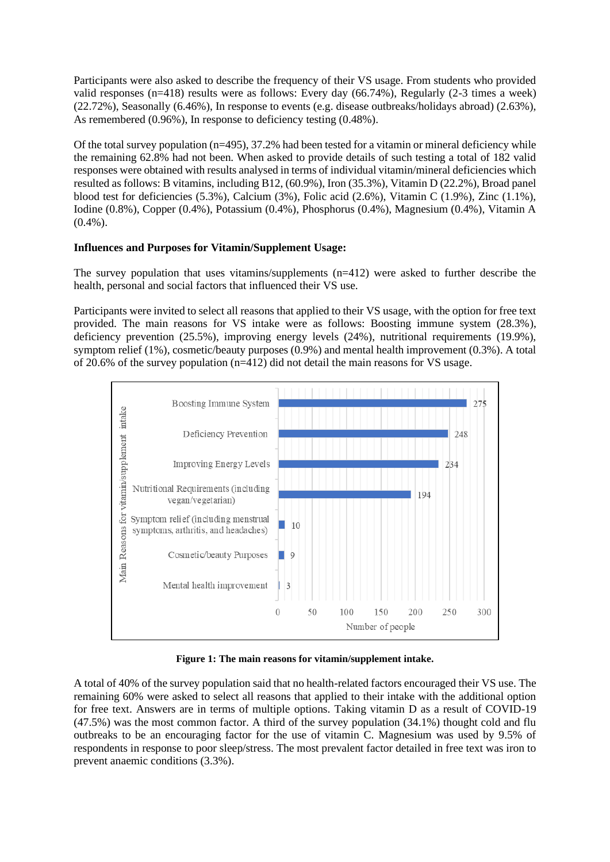Participants were also asked to describe the frequency of their VS usage. From students who provided valid responses (n=418) results were as follows: Every day (66.74%), Regularly (2-3 times a week) (22.72%), Seasonally (6.46%), In response to events (e.g. disease outbreaks/holidays abroad) (2.63%), As remembered (0.96%), In response to deficiency testing (0.48%).

Of the total survey population (n=495), 37.2% had been tested for a vitamin or mineral deficiency while the remaining 62.8% had not been. When asked to provide details of such testing a total of 182 valid responses were obtained with results analysed in terms of individual vitamin/mineral deficiencies which resulted as follows: B vitamins, including B12, (60.9%), Iron (35.3%), Vitamin D (22.2%), Broad panel blood test for deficiencies (5.3%), Calcium (3%), Folic acid (2.6%), Vitamin C (1.9%), Zinc (1.1%), Iodine (0.8%), Copper (0.4%), Potassium (0.4%), Phosphorus (0.4%), Magnesium (0.4%), Vitamin A (0.4%).

# **Influences and Purposes for Vitamin/Supplement Usage:**

The survey population that uses vitamins/supplements (n=412) were asked to further describe the health, personal and social factors that influenced their VS use.

Participants were invited to select all reasons that applied to their VS usage, with the option for free text provided. The main reasons for VS intake were as follows: Boosting immune system (28.3%), deficiency prevention (25.5%), improving energy levels (24%), nutritional requirements (19.9%), symptom relief (1%), cosmetic/beauty purposes (0.9%) and mental health improvement (0.3%). A total of 20.6% of the survey population  $(n=412)$  did not detail the main reasons for VS usage.



**Figure 1: The main reasons for vitamin/supplement intake.**

A total of 40% of the survey population said that no health-related factors encouraged their VS use. The remaining 60% were asked to select all reasons that applied to their intake with the additional option for free text. Answers are in terms of multiple options. Taking vitamin D as a result of COVID-19 (47.5%) was the most common factor. A third of the survey population (34.1%) thought cold and flu outbreaks to be an encouraging factor for the use of vitamin C. Magnesium was used by 9.5% of respondents in response to poor sleep/stress. The most prevalent factor detailed in free text was iron to prevent anaemic conditions (3.3%).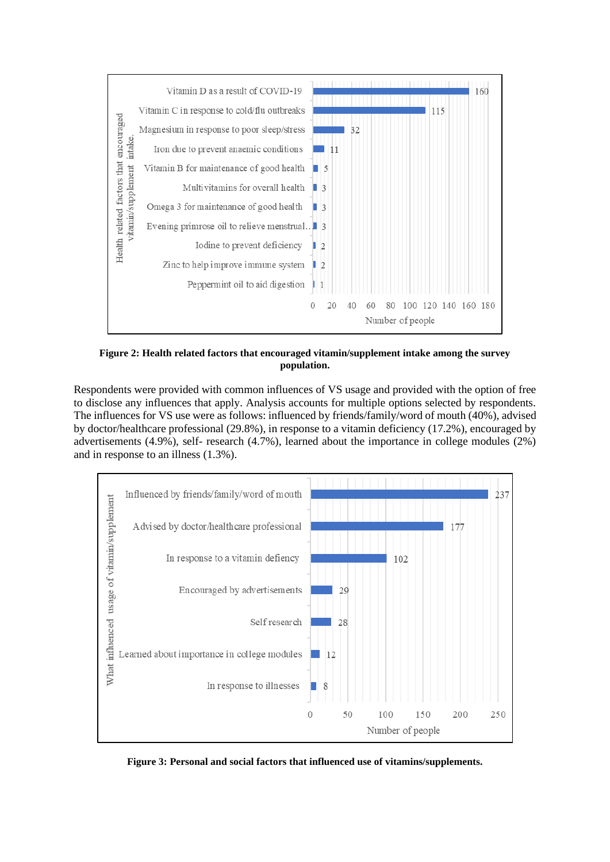

**Figure 2: Health related factors that encouraged vitamin/supplement intake among the survey population.**

Respondents were provided with common influences of VS usage and provided with the option of free to disclose any influences that apply. Analysis accounts for multiple options selected by respondents. The influences for VS use were as follows: influenced by friends/family/word of mouth (40%), advised by doctor/healthcare professional (29.8%), in response to a vitamin deficiency (17.2%), encouraged by advertisements (4.9%), self- research (4.7%), learned about the importance in college modules (2%) and in response to an illness (1.3%).



**Figure 3: Personal and social factors that influenced use of vitamins/supplements.**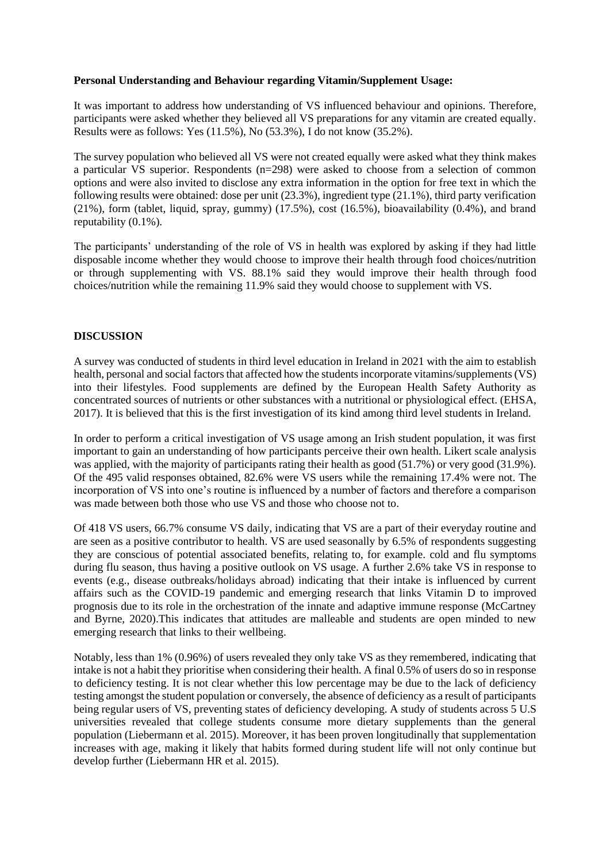#### **Personal Understanding and Behaviour regarding Vitamin/Supplement Usage:**

It was important to address how understanding of VS influenced behaviour and opinions. Therefore, participants were asked whether they believed all VS preparations for any vitamin are created equally. Results were as follows: Yes (11.5%), No (53.3%), I do not know (35.2%).

The survey population who believed all VS were not created equally were asked what they think makes a particular VS superior. Respondents (n=298) were asked to choose from a selection of common options and were also invited to disclose any extra information in the option for free text in which the following results were obtained: dose per unit (23.3%), ingredient type (21.1%), third party verification (21%), form (tablet, liquid, spray, gummy) (17.5%), cost (16.5%), bioavailability (0.4%), and brand reputability (0.1%).

The participants' understanding of the role of VS in health was explored by asking if they had little disposable income whether they would choose to improve their health through food choices/nutrition or through supplementing with VS. 88.1% said they would improve their health through food choices/nutrition while the remaining 11.9% said they would choose to supplement with VS.

# **DISCUSSION**

A survey was conducted of students in third level education in Ireland in 2021 with the aim to establish health, personal and social factors that affected how the students incorporate vitamins/supplements (VS) into their lifestyles. Food supplements are defined by the European Health Safety Authority as concentrated sources of nutrients or other substances with a nutritional or physiological effect. (EHSA, 2017). It is believed that this is the first investigation of its kind among third level students in Ireland.

In order to perform a critical investigation of VS usage among an Irish student population, it was first important to gain an understanding of how participants perceive their own health. Likert scale analysis was applied, with the majority of participants rating their health as good (51.7%) or very good (31.9%). Of the 495 valid responses obtained, 82.6% were VS users while the remaining 17.4% were not. The incorporation of VS into one's routine is influenced by a number of factors and therefore a comparison was made between both those who use VS and those who choose not to.

Of 418 VS users, 66.7% consume VS daily, indicating that VS are a part of their everyday routine and are seen as a positive contributor to health. VS are used seasonally by 6.5% of respondents suggesting they are conscious of potential associated benefits, relating to, for example. cold and flu symptoms during flu season, thus having a positive outlook on VS usage. A further 2.6% take VS in response to events (e.g., disease outbreaks/holidays abroad) indicating that their intake is influenced by current affairs such as the COVID-19 pandemic and emerging research that links Vitamin D to improved prognosis due to its role in the orchestration of the innate and adaptive immune response (McCartney and Byrne, 2020).This indicates that attitudes are malleable and students are open minded to new emerging research that links to their wellbeing.

Notably, less than 1% (0.96%) of users revealed they only take VS as they remembered, indicating that intake is not a habit they prioritise when considering their health. A final 0.5% of users do so in response to deficiency testing. It is not clear whether this low percentage may be due to the lack of deficiency testing amongst the student population or conversely, the absence of deficiency as a result of participants being regular users of VS, preventing states of deficiency developing. A study of students across 5 U.S universities revealed that college students consume more dietary supplements than the general population (Liebermann et al. 2015). Moreover, it has been proven longitudinally that supplementation increases with age, making it likely that habits formed during student life will not only continue but develop further (Liebermann HR et al. 2015).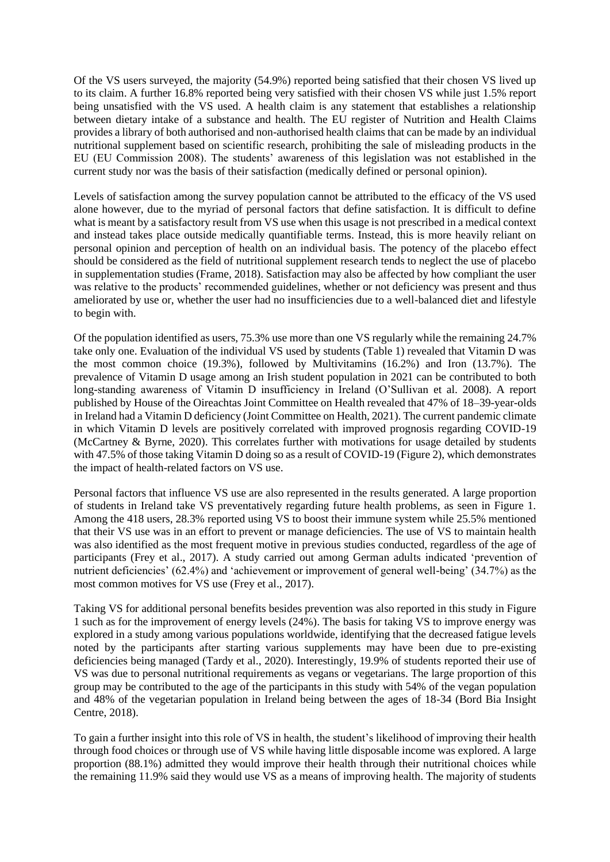Of the VS users surveyed, the majority (54.9%) reported being satisfied that their chosen VS lived up to its claim. A further 16.8% reported being very satisfied with their chosen VS while just 1.5% report being unsatisfied with the VS used. A health claim is any statement that establishes a relationship between dietary intake of a substance and health. The EU register of Nutrition and Health Claims provides a library of both authorised and non-authorised health claims that can be made by an individual nutritional supplement based on scientific research, prohibiting the sale of misleading products in the EU (EU Commission 2008). The students' awareness of this legislation was not established in the current study nor was the basis of their satisfaction (medically defined or personal opinion).

Levels of satisfaction among the survey population cannot be attributed to the efficacy of the VS used alone however, due to the myriad of personal factors that define satisfaction. It is difficult to define what is meant by a satisfactory result from VS use when this usage is not prescribed in a medical context and instead takes place outside medically quantifiable terms. Instead, this is more heavily reliant on personal opinion and perception of health on an individual basis. The potency of the placebo effect should be considered as the field of nutritional supplement research tends to neglect the use of placebo in supplementation studies (Frame, 2018). Satisfaction may also be affected by how compliant the user was relative to the products' recommended guidelines, whether or not deficiency was present and thus ameliorated by use or, whether the user had no insufficiencies due to a well-balanced diet and lifestyle to begin with.

Of the population identified as users, 75.3% use more than one VS regularly while the remaining 24.7% take only one. Evaluation of the individual VS used by students (Table 1) revealed that Vitamin D was the most common choice (19.3%), followed by Multivitamins (16.2%) and Iron (13.7%). The prevalence of Vitamin D usage among an Irish student population in 2021 can be contributed to both long-standing awareness of Vitamin D insufficiency in Ireland (O'Sullivan et al. 2008). A report published by House of the Oireachtas Joint Committee on Health revealed that 47% of 18–39-year-olds in Ireland had a Vitamin D deficiency (Joint Committee on Health, 2021). The current pandemic climate in which Vitamin D levels are positively correlated with improved prognosis regarding COVID-19 (McCartney & Byrne, 2020). This correlates further with motivations for usage detailed by students with 47.5% of those taking Vitamin D doing so as a result of COVID-19 (Figure 2), which demonstrates the impact of health-related factors on VS use.

Personal factors that influence VS use are also represented in the results generated. A large proportion of students in Ireland take VS preventatively regarding future health problems, as seen in Figure 1. Among the 418 users, 28.3% reported using VS to boost their immune system while 25.5% mentioned that their VS use was in an effort to prevent or manage deficiencies. The use of VS to maintain health was also identified as the most frequent motive in previous studies conducted, regardless of the age of participants (Frey et al., 2017). A study carried out among German adults indicated 'prevention of nutrient deficiencies' (62.4%) and 'achievement or improvement of general well-being' (34.7%) as the most common motives for VS use (Frey et al., 2017).

Taking VS for additional personal benefits besides prevention was also reported in this study in Figure 1 such as for the improvement of energy levels (24%). The basis for taking VS to improve energy was explored in a study among various populations worldwide, identifying that the decreased fatigue levels noted by the participants after starting various supplements may have been due to pre-existing deficiencies being managed (Tardy et al., 2020). Interestingly, 19.9% of students reported their use of VS was due to personal nutritional requirements as vegans or vegetarians. The large proportion of this group may be contributed to the age of the participants in this study with 54% of the vegan population and 48% of the vegetarian population in Ireland being between the ages of 18-34 (Bord Bia Insight Centre, 2018).

To gain a further insight into this role of VS in health, the student's likelihood of improving their health through food choices or through use of VS while having little disposable income was explored. A large proportion (88.1%) admitted they would improve their health through their nutritional choices while the remaining 11.9% said they would use VS as a means of improving health. The majority of students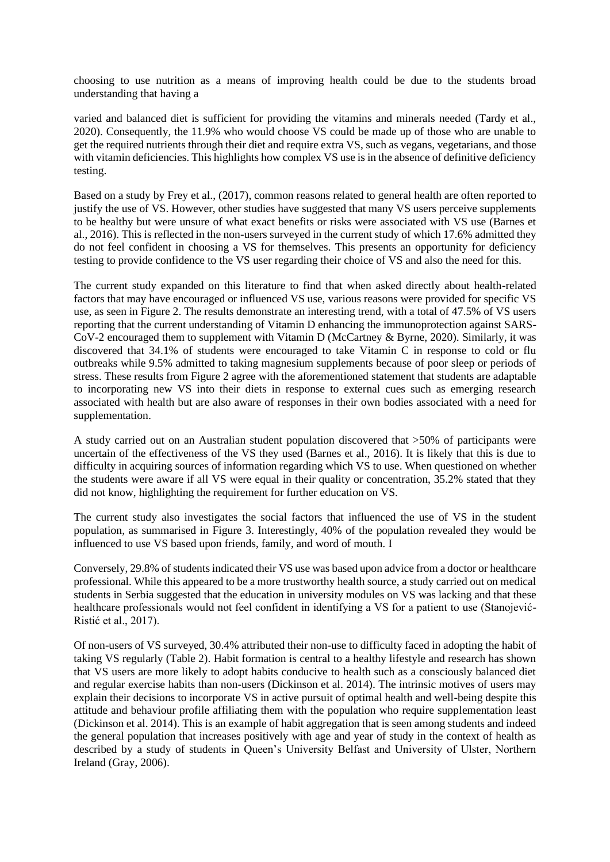choosing to use nutrition as a means of improving health could be due to the students broad understanding that having a

varied and balanced diet is sufficient for providing the vitamins and minerals needed (Tardy et al., 2020). Consequently, the 11.9% who would choose VS could be made up of those who are unable to get the required nutrients through their diet and require extra VS, such as vegans, vegetarians, and those with vitamin deficiencies. This highlights how complex VS use is in the absence of definitive deficiency testing.

Based on a study by Frey et al., (2017), common reasons related to general health are often reported to justify the use of VS. However, other studies have suggested that many VS users perceive supplements to be healthy but were unsure of what exact benefits or risks were associated with VS use (Barnes et al., 2016). This is reflected in the non-users surveyed in the current study of which 17.6% admitted they do not feel confident in choosing a VS for themselves. This presents an opportunity for deficiency testing to provide confidence to the VS user regarding their choice of VS and also the need for this.

The current study expanded on this literature to find that when asked directly about health-related factors that may have encouraged or influenced VS use, various reasons were provided for specific VS use, as seen in Figure 2. The results demonstrate an interesting trend, with a total of 47.5% of VS users reporting that the current understanding of Vitamin D enhancing the immunoprotection against SARS-CoV-2 encouraged them to supplement with Vitamin D (McCartney & Byrne, 2020). Similarly, it was discovered that 34.1% of students were encouraged to take Vitamin C in response to cold or flu outbreaks while 9.5% admitted to taking magnesium supplements because of poor sleep or periods of stress. These results from Figure 2 agree with the aforementioned statement that students are adaptable to incorporating new VS into their diets in response to external cues such as emerging research associated with health but are also aware of responses in their own bodies associated with a need for supplementation.

A study carried out on an Australian student population discovered that >50% of participants were uncertain of the effectiveness of the VS they used (Barnes et al., 2016). It is likely that this is due to difficulty in acquiring sources of information regarding which VS to use. When questioned on whether the students were aware if all VS were equal in their quality or concentration, 35.2% stated that they did not know, highlighting the requirement for further education on VS.

The current study also investigates the social factors that influenced the use of VS in the student population, as summarised in Figure 3. Interestingly, 40% of the population revealed they would be influenced to use VS based upon friends, family, and word of mouth. I

Conversely, 29.8% of students indicated their VS use was based upon advice from a doctor or healthcare professional. While this appeared to be a more trustworthy health source, a study carried out on medical students in Serbia suggested that the education in university modules on VS was lacking and that these healthcare professionals would not feel confident in identifying a VS for a patient to use (Stanojević-Ristić et al., 2017).

Of non-users of VS surveyed, 30.4% attributed their non-use to difficulty faced in adopting the habit of taking VS regularly (Table 2). Habit formation is central to a healthy lifestyle and research has shown that VS users are more likely to adopt habits conducive to health such as a consciously balanced diet and regular exercise habits than non-users (Dickinson et al. 2014). The intrinsic motives of users may explain their decisions to incorporate VS in active pursuit of optimal health and well-being despite this attitude and behaviour profile affiliating them with the population who require supplementation least (Dickinson et al. 2014). This is an example of habit aggregation that is seen among students and indeed the general population that increases positively with age and year of study in the context of health as described by a study of students in Queen's University Belfast and University of Ulster, Northern Ireland (Gray, 2006).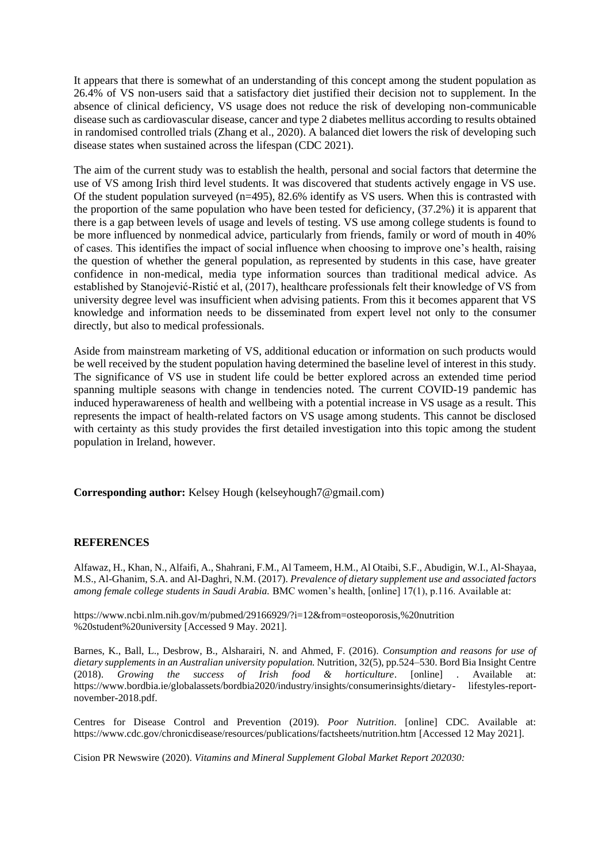It appears that there is somewhat of an understanding of this concept among the student population as 26.4% of VS non-users said that a satisfactory diet justified their decision not to supplement. In the absence of clinical deficiency, VS usage does not reduce the risk of developing non-communicable disease such as cardiovascular disease, cancer and type 2 diabetes mellitus according to results obtained in randomised controlled trials (Zhang et al., 2020). A balanced diet lowers the risk of developing such disease states when sustained across the lifespan (CDC 2021).

The aim of the current study was to establish the health, personal and social factors that determine the use of VS among Irish third level students. It was discovered that students actively engage in VS use. Of the student population surveyed (n=495), 82.6% identify as VS users. When this is contrasted with the proportion of the same population who have been tested for deficiency, (37.2%) it is apparent that there is a gap between levels of usage and levels of testing. VS use among college students is found to be more influenced by nonmedical advice, particularly from friends, family or word of mouth in 40% of cases. This identifies the impact of social influence when choosing to improve one's health, raising the question of whether the general population, as represented by students in this case, have greater confidence in non-medical, media type information sources than traditional medical advice. As established by Stanojević-Ristić et al, (2017), healthcare professionals felt their knowledge of VS from university degree level was insufficient when advising patients. From this it becomes apparent that VS knowledge and information needs to be disseminated from expert level not only to the consumer directly, but also to medical professionals.

Aside from mainstream marketing of VS, additional education or information on such products would be well received by the student population having determined the baseline level of interest in this study. The significance of VS use in student life could be better explored across an extended time period spanning multiple seasons with change in tendencies noted. The current COVID-19 pandemic has induced hyperawareness of health and wellbeing with a potential increase in VS usage as a result. This represents the impact of health-related factors on VS usage among students. This cannot be disclosed with certainty as this study provides the first detailed investigation into this topic among the student population in Ireland, however.

**Corresponding author:** Kelsey Hough (kelseyhough7@gmail.com)

#### **REFERENCES**

Alfawaz, H., Khan, N., Alfaifi, A., Shahrani, F.M., Al Tameem, H.M., Al Otaibi, S.F., Abudigin, W.I., Al-Shayaa, M.S., Al-Ghanim, S.A. and Al-Daghri, N.M. (2017). *Prevalence of dietary supplement use and associated factors among female college students in Saudi Arabia.* BMC women's health, [online] 17(1), p.116. Available at:

https:/[/www.ncbi.nlm.nih.gov/m/pubmed/29166929/?i=12&from=osteoporosis,%20nutrition](http://www.ncbi.nlm.nih.gov/m/pubmed/29166929/?i=12&from=osteoporosis%2C%20nutrition) %20student%20university [Accessed 9 May. 2021].

Barnes, K., Ball, L., Desbrow, B., Alsharairi, N. and Ahmed, F. (2016). *Consumption and reasons for use of dietary supplements in an Australian university population.* Nutrition, 32(5), pp.524–530. Bord Bia Insight Centre (2018). *Growing the success of Irish food & horticulture*. [online] . Available at: https:/[/www.bordbia.ie/globalassets/bordbia2020/industry/insights/consumerinsights/dietary-](http://www.bordbia.ie/globalassets/bordbia2020/industry/insights/consumerinsights/dietary-) lifestyles-reportnovember-2018.pdf.

Centres for Disease Control and Prevention (2019). *Poor Nutrition*. [online] CDC. Available at: https:/[/www.cdc.gov/chronicdisease/resources/publications/factsheets/nutrition.htm](http://www.cdc.gov/chronicdisease/resources/publications/factsheets/nutrition.htm) [\[A](http://www.cdc.gov/chronicdisease/resources/publications/factsheets/nutrition.htm)ccessed 12 May 2021].

Cision PR Newswire (2020). *Vitamins and Mineral Supplement Global Market Report 202030:*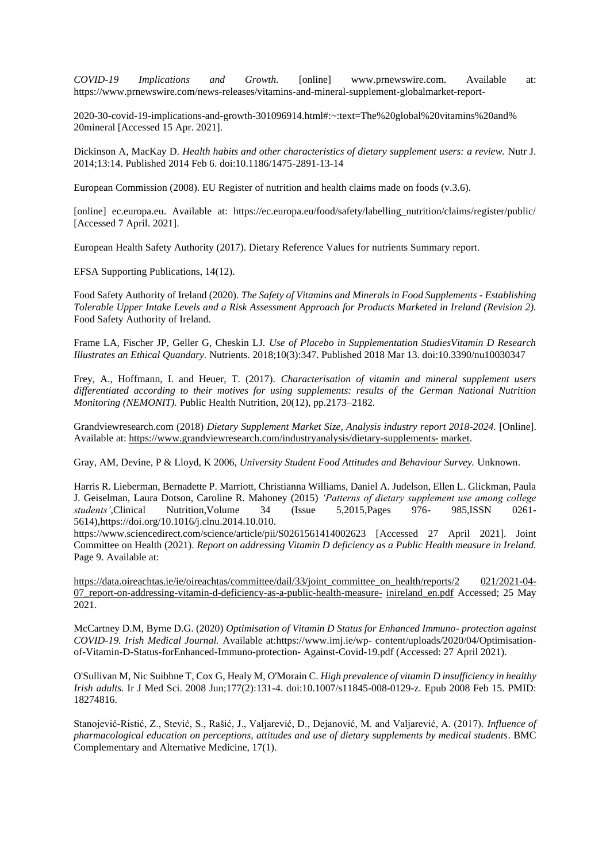*COVID-19 Implications and Growth.* [online] [www.prnewswire.com. Av](http://www.prnewswire.com/)ailable at: https:/[/www.prnewswire.com/news-releases/vitamins-and-mineral-supplement-globalmarket-report-](http://www.prnewswire.com/news-releases/vitamins-and-mineral-supplement-globalmarket-report-)

2020-30-covid-19-implications-and-growth-301096914.html#:~:text=The%20global%20vitamins%20and% 20mineral [Accessed 15 Apr. 2021].

Dickinson A, MacKay D. *Health habits and other characteristics of dietary supplement users: a review.* Nutr J. 2014;13:14. Published 2014 Feb 6. doi:10.1186/1475-2891-13-14

European Commission (2008). EU Register of nutrition and health claims made on foods (v.3.6).

[online] ec.europa.eu. Available at: https://ec.europa.eu/food/safety/labelling\_nutrition/claims/register/public/ [Accessed 7 April. 2021].

European Health Safety Authority (2017). Dietary Reference Values for nutrients Summary report.

EFSA Supporting Publications, 14(12).

Food Safety Authority of Ireland (2020). *The Safety of Vitamins and Minerals in Food Supplements - Establishing Tolerable Upper Intake Levels and a Risk Assessment Approach for Products Marketed in Ireland (Revision 2).*  Food Safety Authority of Ireland.

Frame LA, Fischer JP, Geller G, Cheskin LJ. *Use of Placebo in Supplementation StudiesVitamin D Research Illustrates an Ethical Quandary.* Nutrients. 2018;10(3):347. Published 2018 Mar 13. doi:10.3390/nu10030347

Frey, A., Hoffmann, I. and Heuer, T. (2017). *Characterisation of vitamin and mineral supplement users differentiated according to their motives for using supplements: results of the German National Nutrition Monitoring (NEMONIT).* Public Health Nutrition, 20(12), pp.2173–2182.

Grandviewresearch.com (2018) *Dietary Supplement Market Size, Analysis industry report 2018-2024*. [Online]. Available at: [https://www.grandviewresearch.com/industryanalysis/dietary-supplements-](https://www.grandviewresearch.com/industry-analysis/dietary-supplements-market) [market.](https://www.grandviewresearch.com/industry-analysis/dietary-supplements-market)

Gray, AM, Devine, P & Lloyd, K 2006, *University Student Food Attitudes and Behaviour Survey.* Unknown.

Harris R. Lieberman, Bernadette P. Marriott, Christianna Williams, Daniel A. Judelson, Ellen L. Glickman, Paula J. Geiselman, Laura Dotson, Caroline R. Mahoney (2015) *'Patterns of dietary supplement use among college students'*,Clinical Nutrition,Volume 34 (Issue 5,2015,Pages 976- 985,ISSN 0261- 5614),https://doi.org/10.1016/j.clnu.2014.10.010.

https:/[/www.sciencedirect.com/science/article/pii/S0261561414002623 \[A](http://www.sciencedirect.com/science/article/pii/S0261561414002623)ccessed 27 April 2021]. Joint Committee on Health (2021). *Report on addressing Vitamin D deficiency as a Public Health measure in Ireland.*  Page 9. Available at:

https://data.oireachtas.ie/ie/oireachtas/committee/dail/33/joint\_committee\_on\_health/reports/2 [021/2021-04-](https://data.oireachtas.ie/ie/oireachtas/committee/dail/33/joint_committee_on_health/reports/2021/2021-04-07_report-on-addressing-vitamin-d-deficiency-as-a-public-health-measure-in-ireland_en.pdf) 07 report-on-addressing-vitamin-d-deficiency-as-a-public-health-measure- inireland en.pdf [Ac](https://data.oireachtas.ie/ie/oireachtas/committee/dail/33/joint_committee_on_health/reports/2021/2021-04-07_report-on-addressing-vitamin-d-deficiency-as-a-public-health-measure-in-ireland_en.pdf)cessed; 25 May 2021.

McCartney D.M, Byrne D.G. (2020) *Optimisation of Vitamin D Status for Enhanced Immuno- protection against COVID-19. Irish Medical Journal.* Available at:https:/[/www.imj.ie/wp-](http://www.imj.ie/wp-) content/uploads/2020/04/Optimisationof-Vitamin-D-Status-forEnhanced-Immuno-protection- Against-Covid-19.pdf (Accessed: 27 April 2021).

O'Sullivan M, Nic Suibhne T, Cox G, Healy M, O'Morain C. *High prevalence of vitamin D insufficiency in healthy Irish adults.* Ir J Med Sci. 2008 Jun;177(2):131-4. doi:10.1007/s11845-008-0129-z. Epub 2008 Feb 15. PMID: 18274816.

Stanojević-Ristić, Z., Stević, S., Rašić, J., Valjarević, D., Dejanović, M. and Valjarević, A. (2017). *Influence of pharmacological education on perceptions, attitudes and use of dietary supplements by medical students*. BMC Complementary and Alternative Medicine, 17(1).